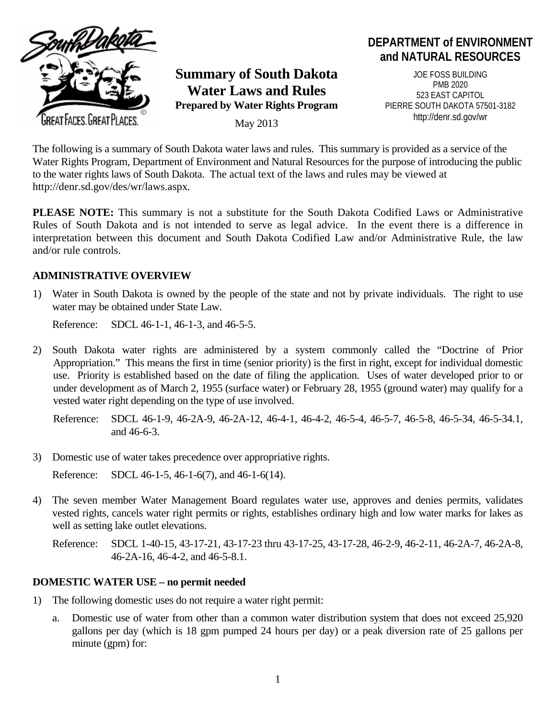

**Summary of South Dakota Water Laws and Rules Prepared by Water Rights Program**

May 2013

# **DEPARTMENT of ENVIRONMENT and NATURAL RESOURCES**

JOE FOSS BUILDING PMB 2020 523 EAST CAPITOL PIERRE SOUTH DAKOTA 57501-3182 http://denr.sd.gov/wr

The following is a summary of South Dakota water laws and rules. This summary is provided as a service of the Water Rights Program, Department of Environment and Natural Resources for the purpose of introducing the public to the water rights laws of South Dakota. The actual text of the laws and rules may be viewed at http://denr.sd.gov/des/wr/laws.aspx*.* 

**PLEASE NOTE:** This summary is not a substitute for the South Dakota Codified Laws or Administrative Rules of South Dakota and is not intended to serve as legal advice. In the event there is a difference in interpretation between this document and South Dakota Codified Law and/or Administrative Rule, the law and/or rule controls.

#### **ADMINISTRATIVE OVERVIEW**

1) Water in South Dakota is owned by the people of the state and not by private individuals. The right to use water may be obtained under State Law.

Reference: SDCL 46-1-1, 46-1-3, and 46-5-5.

- 2) South Dakota water rights are administered by a system commonly called the "Doctrine of Prior Appropriation." This means the first in time (senior priority) is the first in right, except for individual domestic use. Priority is established based on the date of filing the application. Uses of water developed prior to or under development as of March 2, 1955 (surface water) or February 28, 1955 (ground water) may qualify for a vested water right depending on the type of use involved.
	- Reference: SDCL 46-1-9, 46-2A-9, 46-2A-12, 46-4-1, 46-4-2, 46-5-4, 46-5-7, 46-5-8, 46-5-34, 46-5-34.1, and 46-6-3.
- 3) Domestic use of water takes precedence over appropriative rights.

Reference: SDCL 46-1-5, 46-1-6(7), and 46-1-6(14).

4) The seven member Water Management Board regulates water use, approves and denies permits, validates vested rights, cancels water right permits or rights, establishes ordinary high and low water marks for lakes as well as setting lake outlet elevations.

Reference: SDCL 1-40-15, 43-17-21, 43-17-23 thru 43-17-25, 43-17-28, 46-2-9, 46-2-11, 46-2A-7, 46-2A-8, 46-2A-16, 46-4-2, and 46-5-8.1.

### **DOMESTIC WATER USE – no permit needed**

- 1) The following domestic uses do not require a water right permit:
	- a. Domestic use of water from other than a common water distribution system that does not exceed 25,920 gallons per day (which is 18 gpm pumped 24 hours per day) or a peak diversion rate of 25 gallons per minute (gpm) for: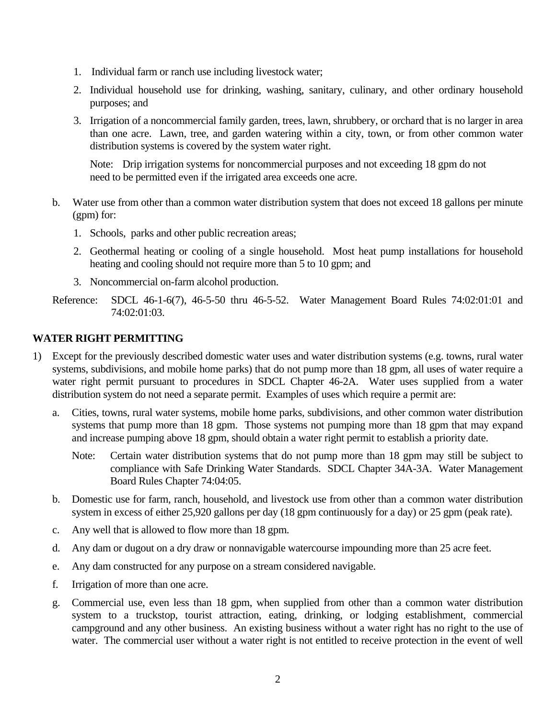- 1. Individual farm or ranch use including livestock water;
- 2. Individual household use for drinking, washing, sanitary, culinary, and other ordinary household purposes; and
- 3. Irrigation of a noncommercial family garden, trees, lawn, shrubbery, or orchard that is no larger in area than one acre. Lawn, tree, and garden watering within a city, town, or from other common water distribution systems is covered by the system water right.

Note: Drip irrigation systems for noncommercial purposes and not exceeding 18 gpm do not need to be permitted even if the irrigated area exceeds one acre.

- b. Water use from other than a common water distribution system that does not exceed 18 gallons per minute (gpm) for:
	- 1. Schools, parks and other public recreation areas;
	- 2. Geothermal heating or cooling of a single household. Most heat pump installations for household heating and cooling should not require more than 5 to 10 gpm; and
	- 3. Noncommercial on-farm alcohol production.
- Reference: SDCL 46-1-6(7), 46-5-50 thru 46-5-52. Water Management Board Rules 74:02:01:01 and 74:02:01:03.

### **WATER RIGHT PERMITTING**

- 1) Except for the previously described domestic water uses and water distribution systems (e.g. towns, rural water systems, subdivisions, and mobile home parks) that do not pump more than 18 gpm, all uses of water require a water right permit pursuant to procedures in SDCL Chapter 46-2A. Water uses supplied from a water distribution system do not need a separate permit. Examples of uses which require a permit are:
	- a. Cities, towns, rural water systems, mobile home parks, subdivisions, and other common water distribution systems that pump more than 18 gpm. Those systems not pumping more than 18 gpm that may expand and increase pumping above 18 gpm, should obtain a water right permit to establish a priority date.
		- Note: Certain water distribution systems that do not pump more than 18 gpm may still be subject to compliance with Safe Drinking Water Standards. SDCL Chapter 34A-3A. Water Management Board Rules Chapter 74:04:05.
	- b. Domestic use for farm, ranch, household, and livestock use from other than a common water distribution system in excess of either 25,920 gallons per day (18 gpm continuously for a day) or 25 gpm (peak rate).
	- c. Any well that is allowed to flow more than 18 gpm.
	- d. Any dam or dugout on a dry draw or nonnavigable watercourse impounding more than 25 acre feet.
	- e. Any dam constructed for any purpose on a stream considered navigable.
	- f. Irrigation of more than one acre.
	- g. Commercial use, even less than 18 gpm, when supplied from other than a common water distribution system to a truckstop, tourist attraction, eating, drinking, or lodging establishment, commercial campground and any other business. An existing business without a water right has no right to the use of water. The commercial user without a water right is not entitled to receive protection in the event of well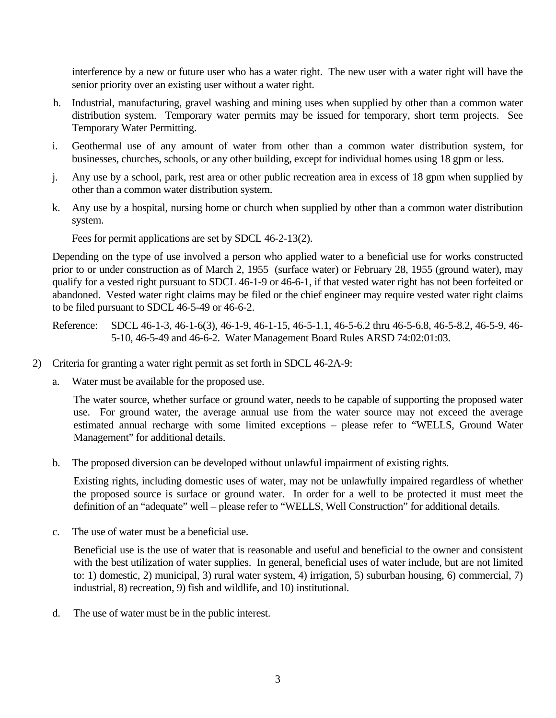interference by a new or future user who has a water right. The new user with a water right will have the senior priority over an existing user without a water right.

- h. Industrial, manufacturing, gravel washing and mining uses when supplied by other than a common water distribution system. Temporary water permits may be issued for temporary, short term projects. See Temporary Water Permitting.
- i. Geothermal use of any amount of water from other than a common water distribution system, for businesses, churches, schools, or any other building, except for individual homes using 18 gpm or less.
- j. Any use by a school, park, rest area or other public recreation area in excess of 18 gpm when supplied by other than a common water distribution system.
- k. Any use by a hospital, nursing home or church when supplied by other than a common water distribution system.

Fees for permit applications are set by SDCL 46-2-13(2).

Depending on the type of use involved a person who applied water to a beneficial use for works constructed prior to or under construction as of March 2, 1955 (surface water) or February 28, 1955 (ground water), may qualify for a vested right pursuant to SDCL 46-1-9 or 46-6-1, if that vested water right has not been forfeited or abandoned. Vested water right claims may be filed or the chief engineer may require vested water right claims to be filed pursuant to SDCL 46-5-49 or 46-6-2.

Reference: SDCL 46-1-3, 46-1-6(3), 46-1-9, 46-1-15, 46-5-1.1, 46-5-6.2 thru 46-5-6.8, 46-5-8.2, 46-5-9, 46- 5-10, 46-5-49 and 46-6-2. Water Management Board Rules ARSD 74:02:01:03.

- 2) Criteria for granting a water right permit as set forth in SDCL 46-2A-9:
	- a. Water must be available for the proposed use.

The water source, whether surface or ground water, needs to be capable of supporting the proposed water use. For ground water, the average annual use from the water source may not exceed the average estimated annual recharge with some limited exceptions – please refer to "WELLS, Ground Water Management" for additional details.

b. The proposed diversion can be developed without unlawful impairment of existing rights.

Existing rights, including domestic uses of water, may not be unlawfully impaired regardless of whether the proposed source is surface or ground water. In order for a well to be protected it must meet the definition of an "adequate" well – please refer to "WELLS, Well Construction" for additional details.

c. The use of water must be a beneficial use.

Beneficial use is the use of water that is reasonable and useful and beneficial to the owner and consistent with the best utilization of water supplies. In general, beneficial uses of water include, but are not limited to: 1) domestic, 2) municipal, 3) rural water system, 4) irrigation, 5) suburban housing, 6) commercial, 7) industrial, 8) recreation, 9) fish and wildlife, and 10) institutional.

d. The use of water must be in the public interest.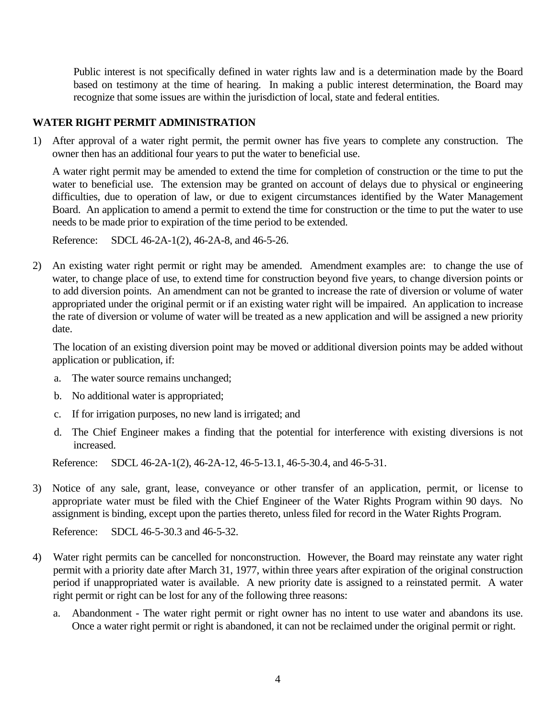Public interest is not specifically defined in water rights law and is a determination made by the Board based on testimony at the time of hearing. In making a public interest determination, the Board may recognize that some issues are within the jurisdiction of local, state and federal entities.

### **WATER RIGHT PERMIT ADMINISTRATION**

1) After approval of a water right permit, the permit owner has five years to complete any construction. The owner then has an additional four years to put the water to beneficial use.

A water right permit may be amended to extend the time for completion of construction or the time to put the water to beneficial use. The extension may be granted on account of delays due to physical or engineering difficulties, due to operation of law, or due to exigent circumstances identified by the Water Management Board. An application to amend a permit to extend the time for construction or the time to put the water to use needs to be made prior to expiration of the time period to be extended.

Reference: SDCL 46-2A-1(2), 46-2A-8, and 46-5-26.

2) An existing water right permit or right may be amended. Amendment examples are: to change the use of water, to change place of use, to extend time for construction beyond five years, to change diversion points or to add diversion points. An amendment can not be granted to increase the rate of diversion or volume of water appropriated under the original permit or if an existing water right will be impaired. An application to increase the rate of diversion or volume of water will be treated as a new application and will be assigned a new priority date.

The location of an existing diversion point may be moved or additional diversion points may be added without application or publication, if:

- a. The water source remains unchanged;
- b. No additional water is appropriated;
- c. If for irrigation purposes, no new land is irrigated; and
- d. The Chief Engineer makes a finding that the potential for interference with existing diversions is not increased.

Reference: SDCL 46-2A-1(2), 46-2A-12, 46-5-13.1, 46-5-30.4, and 46-5-31.

3) Notice of any sale, grant, lease, conveyance or other transfer of an application, permit, or license to appropriate water must be filed with the Chief Engineer of the Water Rights Program within 90 days. No assignment is binding, except upon the parties thereto, unless filed for record in the Water Rights Program.

Reference: SDCL 46-5-30.3 and 46-5-32.

- 4) Water right permits can be cancelled for nonconstruction. However, the Board may reinstate any water right permit with a priority date after March 31, 1977, within three years after expiration of the original construction period if unappropriated water is available. A new priority date is assigned to a reinstated permit. A water right permit or right can be lost for any of the following three reasons:
	- a. Abandonment The water right permit or right owner has no intent to use water and abandons its use. Once a water right permit or right is abandoned, it can not be reclaimed under the original permit or right.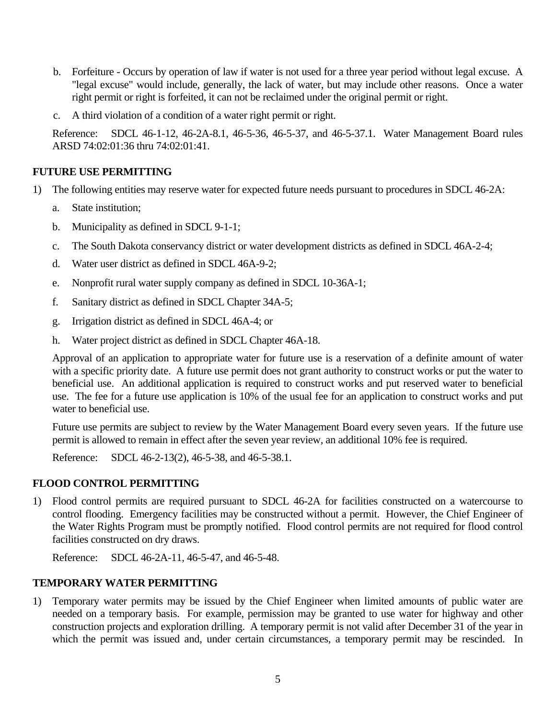- b. Forfeiture Occurs by operation of law if water is not used for a three year period without legal excuse. A "legal excuse" would include, generally, the lack of water, but may include other reasons. Once a water right permit or right is forfeited, it can not be reclaimed under the original permit or right.
- c. A third violation of a condition of a water right permit or right.

Reference: SDCL 46-1-12, 46-2A-8.1, 46-5-36, 46-5-37, and 46-5-37.1. Water Management Board rules ARSD 74:02:01:36 thru 74:02:01:41.

## **FUTURE USE PERMITTING**

- 1) The following entities may reserve water for expected future needs pursuant to procedures in SDCL 46-2A:
	- a. State institution;
	- b. Municipality as defined in SDCL 9-1-1;
	- c. The South Dakota conservancy district or water development districts as defined in SDCL 46A-2-4;
	- d. Water user district as defined in SDCL 46A-9-2;
	- e. Nonprofit rural water supply company as defined in SDCL 10-36A-1;
	- f. Sanitary district as defined in SDCL Chapter 34A-5;
	- g. Irrigation district as defined in SDCL 46A-4; or
	- h. Water project district as defined in SDCL Chapter 46A-18.

Approval of an application to appropriate water for future use is a reservation of a definite amount of water with a specific priority date. A future use permit does not grant authority to construct works or put the water to beneficial use. An additional application is required to construct works and put reserved water to beneficial use. The fee for a future use application is 10% of the usual fee for an application to construct works and put water to beneficial use.

Future use permits are subject to review by the Water Management Board every seven years. If the future use permit is allowed to remain in effect after the seven year review, an additional 10% fee is required.

Reference: SDCL 46-2-13(2), 46-5-38, and 46-5-38.1.

### **FLOOD CONTROL PERMITTING**

1) Flood control permits are required pursuant to SDCL 46-2A for facilities constructed on a watercourse to control flooding. Emergency facilities may be constructed without a permit. However, the Chief Engineer of the Water Rights Program must be promptly notified. Flood control permits are not required for flood control facilities constructed on dry draws.

Reference: SDCL 46-2A-11, 46-5-47, and 46-5-48.

### **TEMPORARY WATER PERMITTING**

1) Temporary water permits may be issued by the Chief Engineer when limited amounts of public water are needed on a temporary basis. For example, permission may be granted to use water for highway and other construction projects and exploration drilling. A temporary permit is not valid after December 31 of the year in which the permit was issued and, under certain circumstances, a temporary permit may be rescinded. In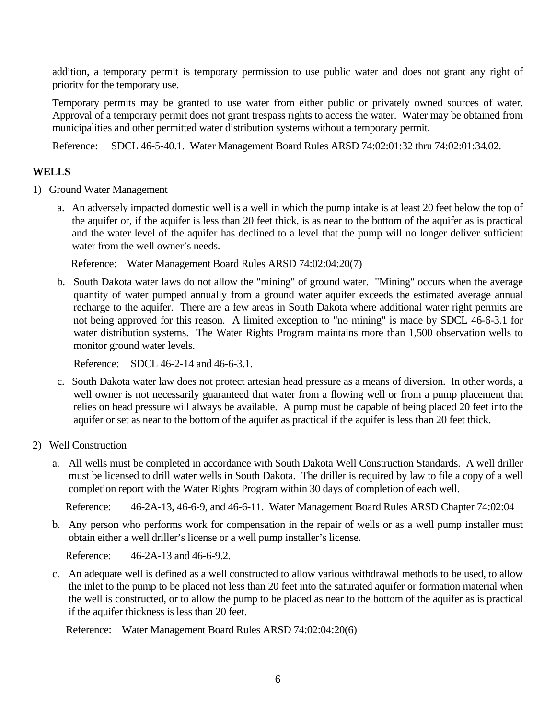addition, a temporary permit is temporary permission to use public water and does not grant any right of priority for the temporary use.

Temporary permits may be granted to use water from either public or privately owned sources of water. Approval of a temporary permit does not grant trespass rights to access the water. Water may be obtained from municipalities and other permitted water distribution systems without a temporary permit.

Reference: SDCL 46-5-40.1. Water Management Board Rules ARSD 74:02:01:32 thru 74:02:01:34.02.

# **WELLS**

- 1) Ground Water Management
	- a. An adversely impacted domestic well is a well in which the pump intake is at least 20 feet below the top of the aquifer or, if the aquifer is less than 20 feet thick, is as near to the bottom of the aquifer as is practical and the water level of the aquifer has declined to a level that the pump will no longer deliver sufficient water from the well owner's needs.

Reference: Water Management Board Rules ARSD 74:02:04:20(7)

b. South Dakota water laws do not allow the "mining" of ground water. "Mining" occurs when the average quantity of water pumped annually from a ground water aquifer exceeds the estimated average annual recharge to the aquifer. There are a few areas in South Dakota where additional water right permits are not being approved for this reason. A limited exception to "no mining" is made by SDCL 46-6-3.1 for water distribution systems. The Water Rights Program maintains more than 1,500 observation wells to monitor ground water levels.

Reference: SDCL 46-2-14 and 46-6-3.1.

- c. South Dakota water law does not protect artesian head pressure as a means of diversion. In other words, a well owner is not necessarily guaranteed that water from a flowing well or from a pump placement that relies on head pressure will always be available. A pump must be capable of being placed 20 feet into the aquifer or set as near to the bottom of the aquifer as practical if the aquifer is less than 20 feet thick.
- 2) Well Construction
	- a. All wells must be completed in accordance with South Dakota Well Construction Standards. A well driller must be licensed to drill water wells in South Dakota. The driller is required by law to file a copy of a well completion report with the Water Rights Program within 30 days of completion of each well.

Reference: 46-2A-13, 46-6-9, and 46-6-11. Water Management Board Rules ARSD Chapter 74:02:04

b. Any person who performs work for compensation in the repair of wells or as a well pump installer must obtain either a well driller's license or a well pump installer's license.

Reference: 46-2A-13 and 46-6-9.2.

c. An adequate well is defined as a well constructed to allow various withdrawal methods to be used, to allow the inlet to the pump to be placed not less than 20 feet into the saturated aquifer or formation material when the well is constructed, or to allow the pump to be placed as near to the bottom of the aquifer as is practical if the aquifer thickness is less than 20 feet.

Reference: Water Management Board Rules ARSD 74:02:04:20(6)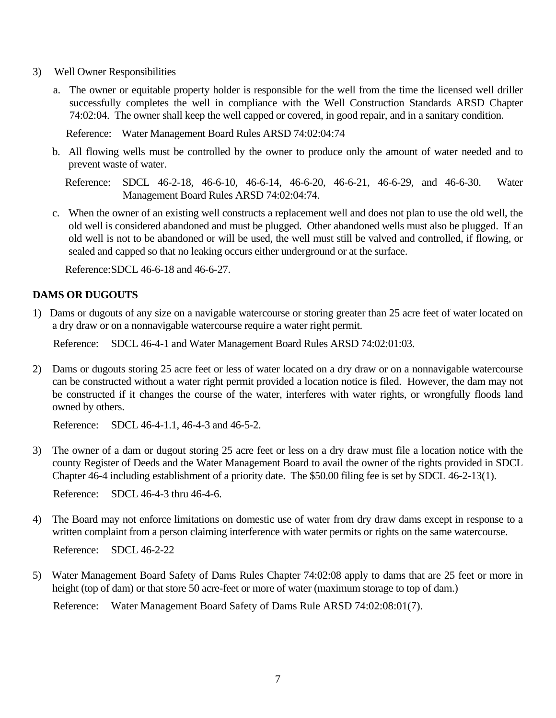- 3) Well Owner Responsibilities
	- a. The owner or equitable property holder is responsible for the well from the time the licensed well driller successfully completes the well in compliance with the Well Construction Standards ARSD Chapter 74:02:04. The owner shall keep the well capped or covered, in good repair, and in a sanitary condition.

Reference: Water Management Board Rules ARSD 74:02:04:74

b. All flowing wells must be controlled by the owner to produce only the amount of water needed and to prevent waste of water.

 Reference: SDCL 46-2-18, 46-6-10, 46-6-14, 46-6-20, 46-6-21, 46-6-29, and 46-6-30. Water Management Board Rules ARSD 74:02:04:74.

c. When the owner of an existing well constructs a replacement well and does not plan to use the old well, the old well is considered abandoned and must be plugged. Other abandoned wells must also be plugged. If an old well is not to be abandoned or will be used, the well must still be valved and controlled, if flowing, or sealed and capped so that no leaking occurs either underground or at the surface.

Reference:SDCL 46-6-18 and 46-6-27.

#### **DAMS OR DUGOUTS**

1) Dams or dugouts of any size on a navigable watercourse or storing greater than 25 acre feet of water located on a dry draw or on a nonnavigable watercourse require a water right permit.

Reference: SDCL 46-4-1 and Water Management Board Rules ARSD 74:02:01:03.

2) Dams or dugouts storing 25 acre feet or less of water located on a dry draw or on a nonnavigable watercourse can be constructed without a water right permit provided a location notice is filed. However, the dam may not be constructed if it changes the course of the water, interferes with water rights, or wrongfully floods land owned by others.

Reference: SDCL 46-4-1.1, 46-4-3 and 46-5-2.

3) The owner of a dam or dugout storing 25 acre feet or less on a dry draw must file a location notice with the county Register of Deeds and the Water Management Board to avail the owner of the rights provided in SDCL Chapter 46-4 including establishment of a priority date. The \$50.00 filing fee is set by SDCL 46-2-13(1).

Reference: SDCL 46-4-3 thru 46-4-6.

4) The Board may not enforce limitations on domestic use of water from dry draw dams except in response to a written complaint from a person claiming interference with water permits or rights on the same watercourse.

Reference: SDCL 46-2-22

5) Water Management Board Safety of Dams Rules Chapter 74:02:08 apply to dams that are 25 feet or more in height (top of dam) or that store 50 acre-feet or more of water (maximum storage to top of dam.)

Reference: Water Management Board Safety of Dams Rule ARSD 74:02:08:01(7).